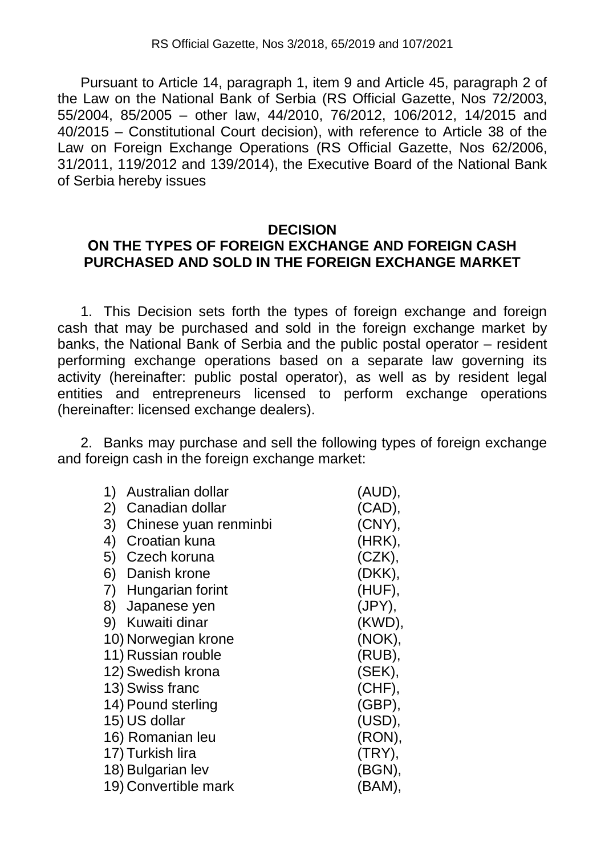Pursuant to Article 14, paragraph 1, item 9 and Article 45, paragraph 2 of the Law on the National Bank of Serbia (RS Official Gazette, Nos 72/2003, 55/2004, 85/2005 – other law, 44/2010, 76/2012, 106/2012, 14/2015 and 40/2015 – Constitutional Court decision), with reference to Article 38 of the Law on Foreign Exchange Operations (RS Official Gazette, Nos 62/2006, 31/2011, 119/2012 and 139/2014), the Executive Board of the National Bank of Serbia hereby issues

## **DECISION**

## **ОN THE TYPES OF FOREIGN EXCHANGE AND FOREIGN CASH PURCHASED AND SOLD IN THE FOREIGN EXCHANGE MARKET**

1. This Decision sets forth the types of foreign exchange and foreign cash that may be purchased and sold in the foreign exchange market by banks, the National Bank of Serbia and the public postal operator – resident performing exchange operations based on a separate law governing its activity (hereinafter: public postal operator), as well as by resident legal entities and entrepreneurs licensed to perform exchange operations (hereinafter: licensed exchange dealers).

2. Banks may purchase and sell the following types of foreign exchange and foreign cash in the foreign exchange market:

| 1) | Australian dollar     | (AUD),    |
|----|-----------------------|-----------|
| 2) | Canadian dollar       | $(CAD)$ , |
| 3) | Chinese yuan renminbi | $(CNY)$ , |
| 4) | Croatian kuna         | (HRK),    |
| 5) | Czech koruna          | $(CZK)$ , |
| 6) | Danish krone          | (DKK),    |
| 7) | Hungarian forint      | (HUF),    |
| 8) | Japanese yen          | (JPY),    |
| 9) | Kuwaiti dinar         | (KWD),    |
|    | 10) Norwegian krone   | (NOK),    |
|    | 11) Russian rouble    | (RUB),    |
|    | 12) Swedish krona     | (SEK),    |
|    | 13) Swiss franc       | (CHF),    |
|    | 14) Pound sterling    | $(GBP)$ , |
|    | 15) US dollar         | (USD),    |
|    | 16) Romanian leu      | (RON),    |
|    | 17) Turkish lira      | (TRY),    |
|    | 18) Bulgarian lev     | (BGN),    |
|    | 19) Convertible mark  | (BAM),    |
|    |                       |           |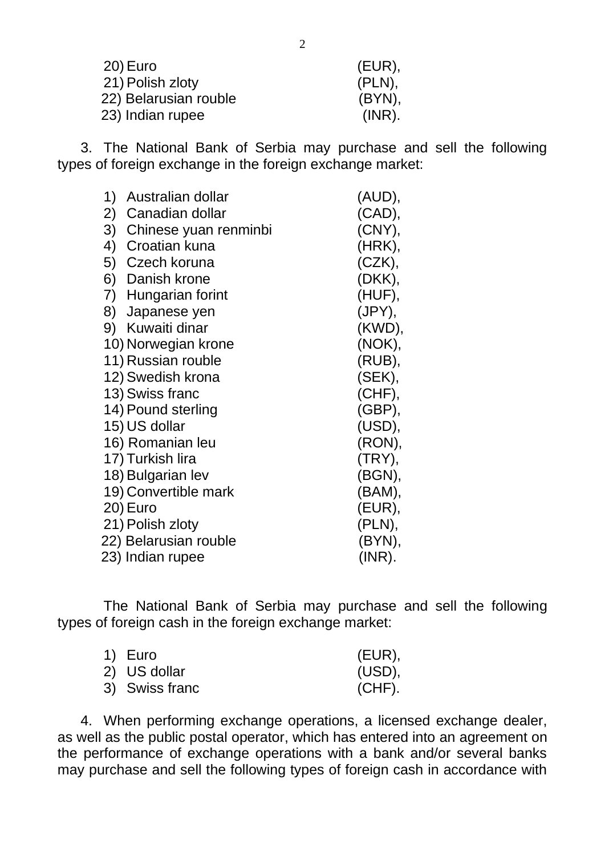| (EUR),    |
|-----------|
| $(PLN)$ , |
| $(BYN)$ , |
| $(INR)$ . |
|           |

3. The National Bank of Serbia may purchase and sell the following types of foreign exchange in the foreign exchange market:

| 1) | Australian dollar     | (AUD),    |
|----|-----------------------|-----------|
| 2) | Canadian dollar       | $(CAD)$ , |
| 3) | Chinese yuan renminbi | (CNY),    |
| 4) | Croatian kuna         | (HRK),    |
| 5) | Czech koruna          | (CZK),    |
| 6) | Danish krone          | (DKK),    |
|    | 7) Hungarian forint   | (HUF),    |
| 8) | Japanese yen          | (JPY),    |
|    | 9) Kuwaiti dinar      | (KWD),    |
|    | 10) Norwegian krone   | (NOK),    |
|    | 11) Russian rouble    | (RUB),    |
|    | 12) Swedish krona     | (SEK),    |
|    | 13) Swiss franc       | (CHF),    |
|    | 14) Pound sterling    | $(GBP)$ , |
|    | 15) US dollar         | (USD),    |
|    | 16) Romanian leu      | (RON),    |
|    | 17) Turkish lira      | (TRY),    |
|    | 18) Bulgarian lev     | (BGN),    |
|    | 19) Convertible mark  | (BAM),    |
|    | 20) Euro              | $(EUR)$ , |
|    | 21) Polish zloty      | $(PLN)$ , |
|    | 22) Belarusian rouble | (BYN),    |
|    | 23) Indian rupee      | $(INR)$ . |

The National Bank of Serbia may purchase and sell the following types of foreign cash in the foreign exchange market:

| 1) Euro        | (EUR),    |
|----------------|-----------|
| 2) US dollar   | (USD).    |
| 3) Swiss franc | $(CHF)$ . |

4. When performing exchange operations, a licensed exchange dealer, as well as the public postal operator, which has entered into an agreement on the performance of exchange operations with a bank and/or several banks may purchase and sell the following types of foreign cash in accordance with